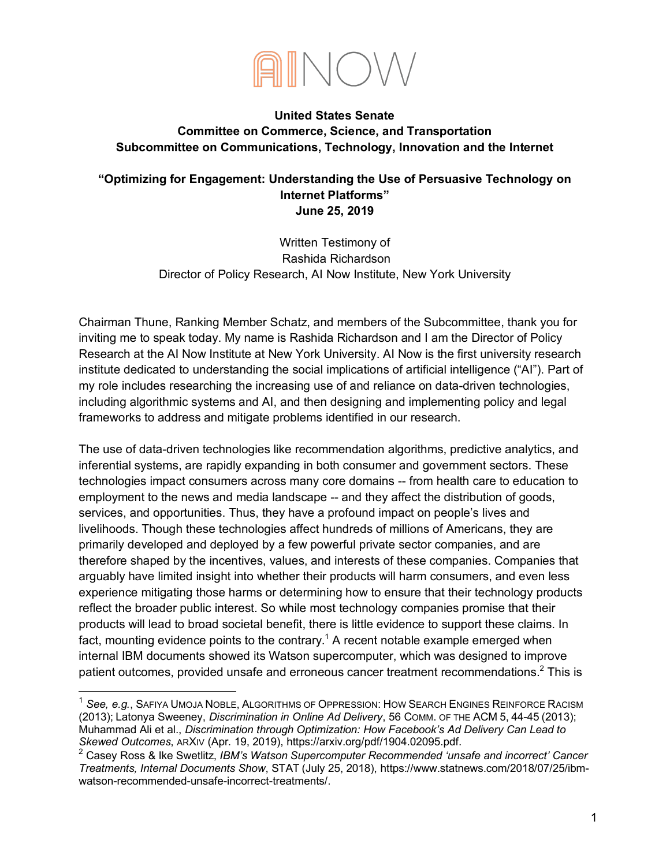

### **United States Senate Committee on Commerce, Science, and Transportation Subcommittee on Communications, Technology, Innovation and the Internet**

### **"Optimizing for Engagement: Understanding the Use of Persuasive Technology on Internet Platforms" June 25, 2019**

Written Testimony of Rashida Richardson Director of Policy Research, AI Now Institute, New York University

Chairman Thune, Ranking Member Schatz, and members of the Subcommittee, thank you for inviting me to speak today. My name is Rashida Richardson and I am the Director of Policy Research at the AI Now Institute at New York University. AI Now is the first university research institute dedicated to understanding the social implications of artificial intelligence ("AI"). Part of my role includes researching the increasing use of and reliance on data-driven technologies, including algorithmic systems and AI, and then designing and implementing policy and legal frameworks to address and mitigate problems identified in our research.

The use of data-driven technologies like recommendation algorithms, predictive analytics, and inferential systems, are rapidly expanding in both consumer and government sectors. These technologies impact consumers across many core domains -- from health care to education to employment to the news and media landscape -- and they affect the distribution of goods, services, and opportunities. Thus, they have a profound impact on people's lives and livelihoods. Though these technologies affect hundreds of millions of Americans, they are primarily developed and deployed by a few powerful private sector companies, and are therefore shaped by the incentives, values, and interests of these companies. Companies that arguably have limited insight into whether their products will harm consumers, and even less experience mitigating those harms or determining how to ensure that their technology products reflect the broader public interest. So while most technology companies promise that their products will lead to broad societal benefit, there is little evidence to support these claims. In fact, mounting evidence points to the contrary.<sup>1</sup> A recent notable example emerged when internal IBM documents showed its Watson supercomputer, which was designed to improve patient outcomes, provided unsafe and erroneous cancer treatment recommendations.<sup>2</sup> This is

 <sup>1</sup> *See, e.g.*, SAFIYA UMOJA NOBLE, ALGORITHMS OF OPPRESSION: HOW SEARCH ENGINES REINFORCE RACISM (2013); Latonya Sweeney, *Discrimination in Online Ad Delivery*, 56 COMM. OF THE ACM 5, 44-45 (2013); Muhammad Ali et al., *Discrimination through Optimization: How Facebook's Ad Delivery Can Lead to Skewed Outcomes*, ARXIV (Apr. 19, 2019), https://arxiv.org/pdf/1904.02095.pdf.

<sup>2</sup> Casey Ross & Ike Swetlitz, *IBM's Watson Supercomputer Recommended 'unsafe and incorrect' Cancer Treatments, Internal Documents Show*, STAT (July 25, 2018), https://www.statnews.com/2018/07/25/ibmwatson-recommended-unsafe-incorrect-treatments/.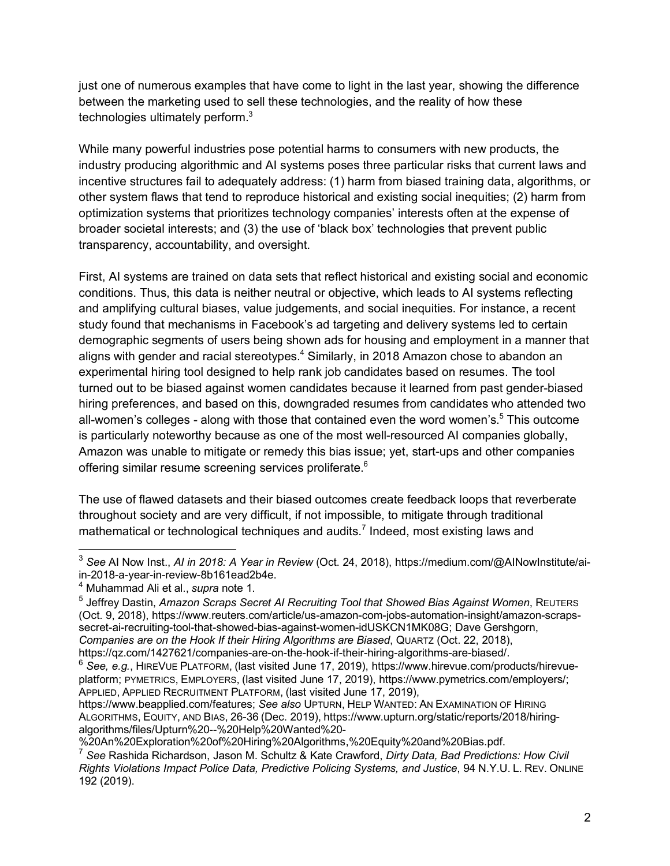just one of numerous examples that have come to light in the last year, showing the difference between the marketing used to sell these technologies, and the reality of how these technologies ultimately perform.<sup>3</sup>

While many powerful industries pose potential harms to consumers with new products, the industry producing algorithmic and AI systems poses three particular risks that current laws and incentive structures fail to adequately address: (1) harm from biased training data, algorithms, or other system flaws that tend to reproduce historical and existing social inequities; (2) harm from optimization systems that prioritizes technology companies' interests often at the expense of broader societal interests; and (3) the use of 'black box' technologies that prevent public transparency, accountability, and oversight.

First, AI systems are trained on data sets that reflect historical and existing social and economic conditions. Thus, this data is neither neutral or objective, which leads to AI systems reflecting and amplifying cultural biases, value judgements, and social inequities. For instance, a recent study found that mechanisms in Facebook's ad targeting and delivery systems led to certain demographic segments of users being shown ads for housing and employment in a manner that aligns with gender and racial stereotypes.<sup>4</sup> Similarly, in 2018 Amazon chose to abandon an experimental hiring tool designed to help rank job candidates based on resumes. The tool turned out to be biased against women candidates because it learned from past gender-biased hiring preferences, and based on this, downgraded resumes from candidates who attended two all-women's colleges - along with those that contained even the word women's.<sup>5</sup> This outcome is particularly noteworthy because as one of the most well-resourced AI companies globally, Amazon was unable to mitigate or remedy this bias issue; yet, start-ups and other companies offering similar resume screening services proliferate.<sup>6</sup>

The use of flawed datasets and their biased outcomes create feedback loops that reverberate throughout society and are very difficult, if not impossible, to mitigate through traditional mathematical or technological techniques and audits.<sup>7</sup> Indeed, most existing laws and

 <sup>3</sup> *See* AI Now Inst., *AI in 2018: A Year in Review* (Oct. 24, 2018), https://medium.com/@AINowInstitute/aiin-2018-a-year-in-review-8b161ead2b4e.

<sup>4</sup> Muhammad Ali et al., *supra* note 1.

<sup>5</sup> Jeffrey Dastin, *Amazon Scraps Secret AI Recruiting Tool that Showed Bias Against Women*, REUTERS (Oct. 9, 2018), https://www.reuters.com/article/us-amazon-com-jobs-automation-insight/amazon-scrapssecret-ai-recruiting-tool-that-showed-bias-against-women-idUSKCN1MK08G; Dave Gershgorn, *Companies are on the Hook If their Hiring Algorithms are Biased*, QUARTZ (Oct. 22, 2018), https://qz.com/1427621/companies-are-on-the-hook-if-their-hiring-algorithms-are-biased/.

<sup>6</sup> *See, e.g.*, HIREVUE PLATFORM, (last visited June 17, 2019), https://www.hirevue.com/products/hirevueplatform; PYMETRICS, EMPLOYERS, (last visited June 17, 2019), https://www.pymetrics.com/employers/; APPLIED, APPLIED RECRUITMENT PLATFORM, (last visited June 17, 2019),

https://www.beapplied.com/features; *See also* UPTURN, HELP WANTED: AN EXAMINATION OF HIRING ALGORITHMS, EQUITY, AND BIAS, 26-36 (Dec. 2019), https://www.upturn.org/static/reports/2018/hiringalgorithms/files/Upturn%20--%20Help%20Wanted%20-

<sup>%20</sup>An%20Exploration%20of%20Hiring%20Algorithms,%20Equity%20and%20Bias.pdf.

<sup>7</sup> *See* Rashida Richardson, Jason M. Schultz & Kate Crawford, *Dirty Data, Bad Predictions: How Civil Rights Violations Impact Police Data, Predictive Policing Systems, and Justice*, 94 N.Y.U. L. REV. ONLINE 192 (2019).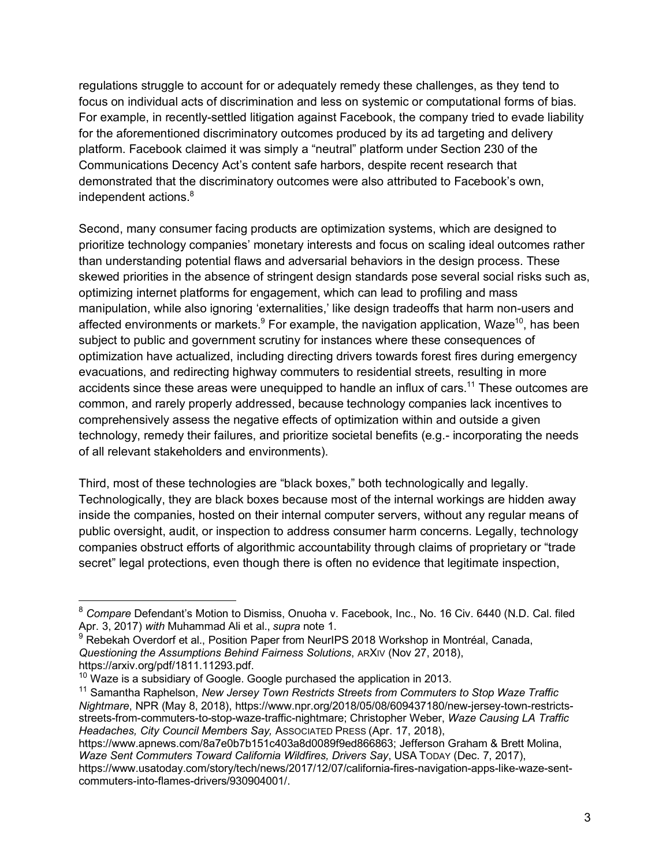regulations struggle to account for or adequately remedy these challenges, as they tend to focus on individual acts of discrimination and less on systemic or computational forms of bias. For example, in recently-settled litigation against Facebook, the company tried to evade liability for the aforementioned discriminatory outcomes produced by its ad targeting and delivery platform. Facebook claimed it was simply a "neutral" platform under Section 230 of the Communications Decency Act's content safe harbors, despite recent research that demonstrated that the discriminatory outcomes were also attributed to Facebook's own, independent actions.<sup>8</sup>

Second, many consumer facing products are optimization systems, which are designed to prioritize technology companies' monetary interests and focus on scaling ideal outcomes rather than understanding potential flaws and adversarial behaviors in the design process. These skewed priorities in the absence of stringent design standards pose several social risks such as, optimizing internet platforms for engagement, which can lead to profiling and mass manipulation, while also ignoring 'externalities,' like design tradeoffs that harm non-users and affected environments or markets. $9$  For example, the navigation application, Waze<sup>10</sup>, has been subject to public and government scrutiny for instances where these consequences of optimization have actualized, including directing drivers towards forest fires during emergency evacuations, and redirecting highway commuters to residential streets, resulting in more accidents since these areas were unequipped to handle an influx of cars.<sup>11</sup> These outcomes are common, and rarely properly addressed, because technology companies lack incentives to comprehensively assess the negative effects of optimization within and outside a given technology, remedy their failures, and prioritize societal benefits (e.g.- incorporating the needs of all relevant stakeholders and environments).

Third, most of these technologies are "black boxes," both technologically and legally. Technologically, they are black boxes because most of the internal workings are hidden away inside the companies, hosted on their internal computer servers, without any regular means of public oversight, audit, or inspection to address consumer harm concerns. Legally, technology companies obstruct efforts of algorithmic accountability through claims of proprietary or "trade secret" legal protections, even though there is often no evidence that legitimate inspection,

https://www.apnews.com/8a7e0b7b151c403a8d0089f9ed866863; Jefferson Graham & Brett Molina, *Waze Sent Commuters Toward California Wildfires, Drivers Say*, USA TODAY (Dec. 7, 2017), https://www.usatoday.com/story/tech/news/2017/12/07/california-fires-navigation-apps-like-waze-sent-

commuters-into-flames-drivers/930904001/.

 <sup>8</sup> *Compare* Defendant's Motion to Dismiss, Onuoha v. Facebook, Inc., No. 16 Civ. 6440 (N.D. Cal. filed Apr. 3, 2017) *with* Muhammad Ali et al., *supra* note 1.

<sup>&</sup>lt;sup>9</sup> Rebekah Overdorf et al., Position Paper from NeurIPS 2018 Workshop in Montréal, Canada, *Questioning the Assumptions Behind Fairness Solutions*, ARXIV (Nov 27, 2018), https://arxiv.org/pdf/1811.11293.pdf.

 $10$  Waze is a subsidiary of Google. Google purchased the application in 2013.

<sup>11</sup> Samantha Raphelson, *New Jersey Town Restricts Streets from Commuters to Stop Waze Traffic Nightmare*, NPR (May 8, 2018), https://www.npr.org/2018/05/08/609437180/new-jersey-town-restrictsstreets-from-commuters-to-stop-waze-traffic-nightmare; Christopher Weber, *Waze Causing LA Traffic Headaches, City Council Members Say,* ASSOCIATED PRESS (Apr. 17, 2018),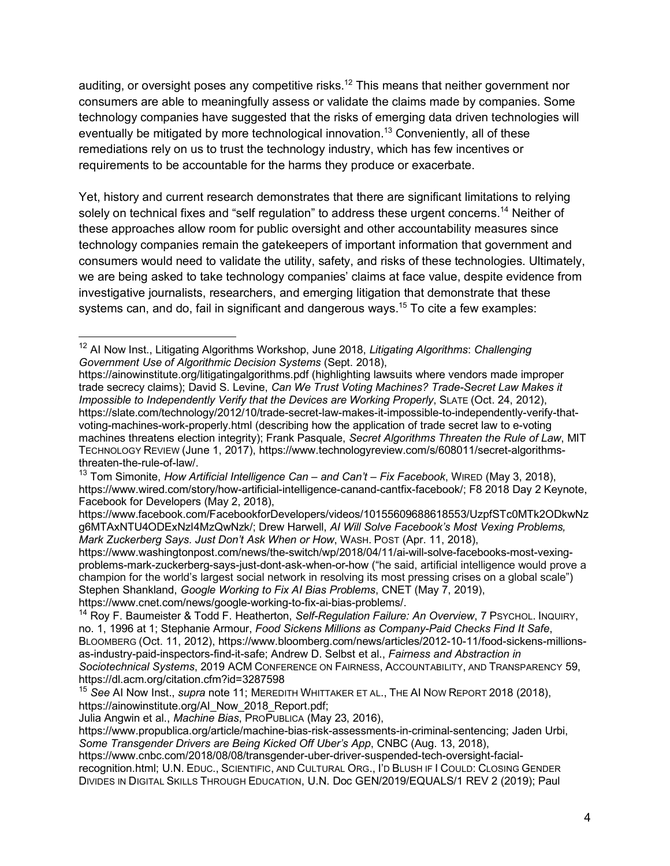auditing, or oversight poses any competitive risks.<sup>12</sup> This means that neither government nor consumers are able to meaningfully assess or validate the claims made by companies. Some technology companies have suggested that the risks of emerging data driven technologies will eventually be mitigated by more technological innovation.<sup>13</sup> Conveniently, all of these remediations rely on us to trust the technology industry, which has few incentives or requirements to be accountable for the harms they produce or exacerbate.

Yet, history and current research demonstrates that there are significant limitations to relying solely on technical fixes and "self regulation" to address these urgent concerns.<sup>14</sup> Neither of these approaches allow room for public oversight and other accountability measures since technology companies remain the gatekeepers of important information that government and consumers would need to validate the utility, safety, and risks of these technologies. Ultimately, we are being asked to take technology companies' claims at face value, despite evidence from investigative journalists, researchers, and emerging litigation that demonstrate that these systems can, and do, fail in significant and dangerous ways.<sup>15</sup> To cite a few examples:

 <sup>12</sup> AI Now Inst., Litigating Algorithms Workshop, June 2018, *Litigating Algorithms*: *Challenging Government Use of Algorithmic Decision Systems* (Sept. 2018),

https://ainowinstitute.org/litigatingalgorithms.pdf (highlighting lawsuits where vendors made improper trade secrecy claims); David S. Levine, *Can We Trust Voting Machines? Trade-Secret Law Makes it Impossible to Independently Verify that the Devices are Working Properly*, SLATE (Oct. 24, 2012), https://slate.com/technology/2012/10/trade-secret-law-makes-it-impossible-to-independently-verify-thatvoting-machines-work-properly.html (describing how the application of trade secret law to e-voting machines threatens election integrity); Frank Pasquale, *Secret Algorithms Threaten the Rule of Law*, MIT TECHNOLOGY REVIEW (June 1, 2017), https://www.technologyreview.com/s/608011/secret-algorithmsthreaten-the-rule-of-law/.

<sup>13</sup> Tom Simonite, *How Artificial Intelligence Can – and Can't – Fix Facebook*, WIRED (May 3, 2018), https://www.wired.com/story/how-artificial-intelligence-canand-cantfix-facebook/; F8 2018 Day 2 Keynote, Facebook for Developers (May 2, 2018),

https://www.facebook.com/FacebookforDevelopers/videos/10155609688618553/UzpfSTc0MTk2ODkwNz g6MTAxNTU4ODExNzI4MzQwNzk/; Drew Harwell, *AI Will Solve Facebook's Most Vexing Problems, Mark Zuckerberg Says. Just Don't Ask When or How*, WASH. POST (Apr. 11, 2018),

https://www.washingtonpost.com/news/the-switch/wp/2018/04/11/ai-will-solve-facebooks-most-vexingproblems-mark-zuckerberg-says-just-dont-ask-when-or-how ("he said, artificial intelligence would prove a champion for the world's largest social network in resolving its most pressing crises on a global scale") Stephen Shankland, *Google Working to Fix AI Bias Problems*, CNET (May 7, 2019), https://www.cnet.com/news/google-working-to-fix-ai-bias-problems/.

<sup>14</sup> Roy F. Baumeister & Todd F. Heatherton, *Self-Regulation Failure: An Overview*, 7 PSYCHOL. INQUIRY, no. 1, 1996 at 1; Stephanie Armour, *Food Sickens Millions as Company-Paid Checks Find It Safe*, BLOOMBERG (Oct. 11, 2012), https://www.bloomberg.com/news/articles/2012-10-11/food-sickens-millionsas-industry-paid-inspectors-find-it-safe; Andrew D. Selbst et al., *Fairness and Abstraction in Sociotechnical Systems*, 2019 ACM CONFERENCE ON FAIRNESS, ACCOUNTABILITY, AND TRANSPARENCY 59, https://dl.acm.org/citation.cfm?id=3287598

<sup>15</sup> *See* AI Now Inst., *supra* note 11; MEREDITH WHITTAKER ET AL., THE AI NOW REPORT 2018 (2018), https://ainowinstitute.org/AI\_Now\_2018\_Report.pdf;

Julia Angwin et al., *Machine Bias*, PROPUBLICA (May 23, 2016),

https://www.propublica.org/article/machine-bias-risk-assessments-in-criminal-sentencing; Jaden Urbi, *Some Transgender Drivers are Being Kicked Off Uber's App*, CNBC (Aug. 13, 2018),

https://www.cnbc.com/2018/08/08/transgender-uber-driver-suspended-tech-oversight-facialrecognition.html; U.N. EDUC., SCIENTIFIC, AND CULTURAL ORG., I'D BLUSH IF I COULD: CLOSING GENDER DIVIDES IN DIGITAL SKILLS THROUGH EDUCATION, U.N. Doc GEN/2019/EQUALS/1 REV 2 (2019); Paul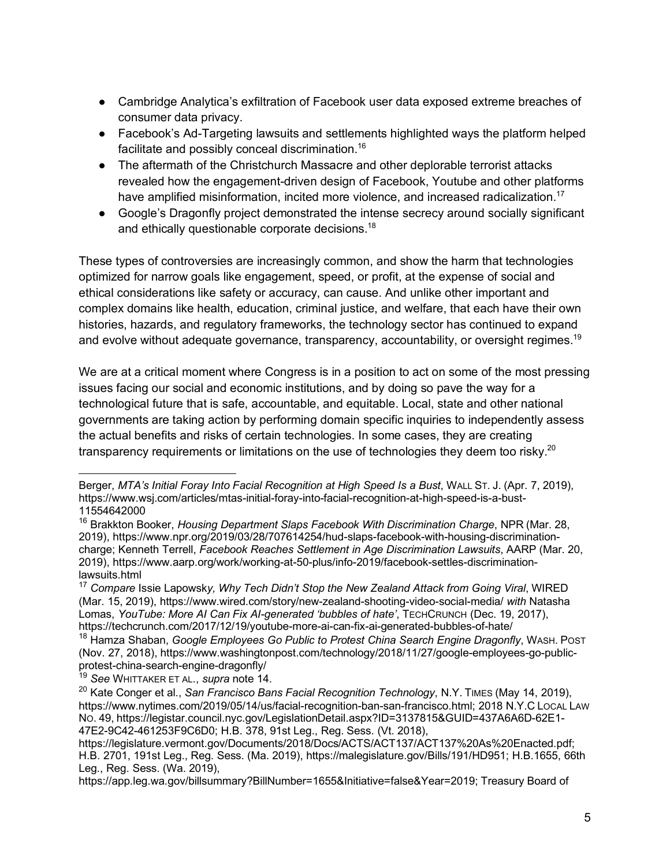- Cambridge Analytica's exfiltration of Facebook user data exposed extreme breaches of consumer data privacy.
- Facebook's Ad-Targeting lawsuits and settlements highlighted ways the platform helped facilitate and possibly conceal discrimination.16
- The aftermath of the Christchurch Massacre and other deplorable terrorist attacks revealed how the engagement-driven design of Facebook, Youtube and other platforms have amplified misinformation, incited more violence, and increased radicalization.<sup>17</sup>
- Google's Dragonfly project demonstrated the intense secrecy around socially significant and ethically questionable corporate decisions.<sup>18</sup>

These types of controversies are increasingly common, and show the harm that technologies optimized for narrow goals like engagement, speed, or profit, at the expense of social and ethical considerations like safety or accuracy, can cause. And unlike other important and complex domains like health, education, criminal justice, and welfare, that each have their own histories, hazards, and regulatory frameworks, the technology sector has continued to expand and evolve without adequate governance, transparency, accountability, or oversight regimes.<sup>19</sup>

We are at a critical moment where Congress is in a position to act on some of the most pressing issues facing our social and economic institutions, and by doing so pave the way for a technological future that is safe, accountable, and equitable. Local, state and other national governments are taking action by performing domain specific inquiries to independently assess the actual benefits and risks of certain technologies. In some cases, they are creating transparency requirements or limitations on the use of technologies they deem too risky.<sup>20</sup>

 Berger, *MTA's Initial Foray Into Facial Recognition at High Speed Is a Bust*, WALL ST. J. (Apr. 7, 2019), https://www.wsj.com/articles/mtas-initial-foray-into-facial-recognition-at-high-speed-is-a-bust-11554642000

<sup>16</sup> Brakkton Booker, *Housing Department Slaps Facebook With Discrimination Charge*, NPR (Mar. 28, 2019), https://www.npr.org/2019/03/28/707614254/hud-slaps-facebook-with-housing-discriminationcharge; Kenneth Terrell, *Facebook Reaches Settlement in Age Discrimination Lawsuits*, AARP (Mar. 20, 2019), https://www.aarp.org/work/working-at-50-plus/info-2019/facebook-settles-discriminationlawsuits.html

<sup>17</sup> *Compare* Issie Lapowsk*y, Why Tech Didn't Stop the New Zealand Attack from Going Viral*, WIRED (Mar. 15, 2019), https://www.wired.com/story/new-zealand-shooting-video-social-media/ *with* Natasha Lomas, *YouTube: More AI Can Fix AI-generated 'bubbles of hate'*, TECHCRUNCH (Dec. 19, 2017), https://techcrunch.com/2017/12/19/youtube-more-ai-can-fix-ai-generated-bubbles-of-hate/

<sup>18</sup> Hamza Shaban, *Google Employees Go Public to Protest China Search Engine Dragonfly*, WASH. POST (Nov. 27, 2018), https://www.washingtonpost.com/technology/2018/11/27/google-employees-go-publicprotest-china-search-engine-dragonfly/

<sup>19</sup> *See* WHITTAKER ET AL., *supra* note 14.

<sup>20</sup> Kate Conger et al., *San Francisco Bans Facial Recognition Technology*, N.Y. TIMES (May 14, 2019), https://www.nytimes.com/2019/05/14/us/facial-recognition-ban-san-francisco.html; 2018 N.Y.C LOCAL LAW NO. 49, https://legistar.council.nyc.gov/LegislationDetail.aspx?ID=3137815&GUID=437A6A6D-62E1- 47E2-9C42-461253F9C6D0; H.B. 378, 91st Leg., Reg. Sess. (Vt. 2018),

https://legislature.vermont.gov/Documents/2018/Docs/ACTS/ACT137/ACT137%20As%20Enacted.pdf; H.B. 2701, 191st Leg., Reg. Sess. (Ma. 2019), https://malegislature.gov/Bills/191/HD951; H.B.1655, 66th Leg., Reg. Sess. (Wa. 2019),

https://app.leg.wa.gov/billsummary?BillNumber=1655&Initiative=false&Year=2019; Treasury Board of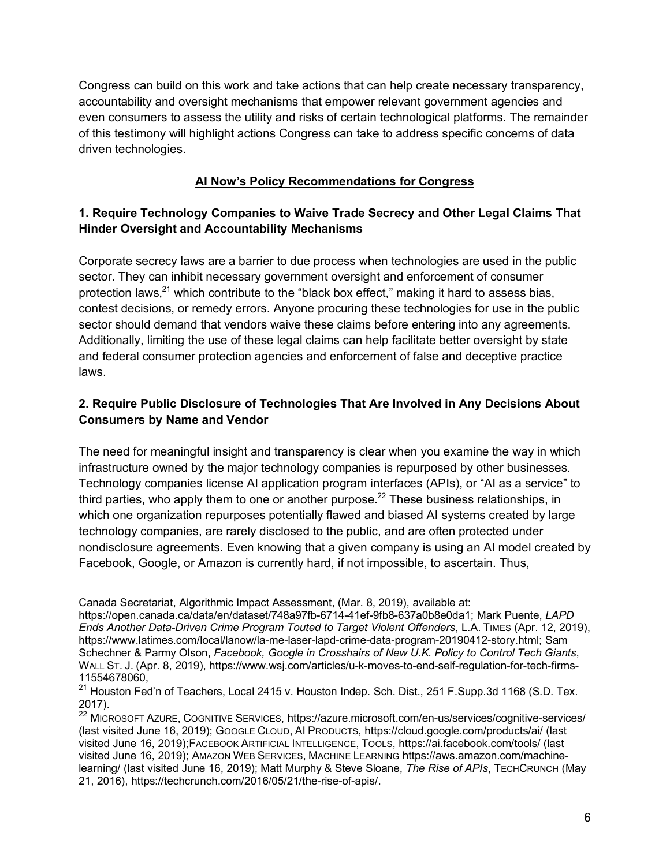Congress can build on this work and take actions that can help create necessary transparency, accountability and oversight mechanisms that empower relevant government agencies and even consumers to assess the utility and risks of certain technological platforms. The remainder of this testimony will highlight actions Congress can take to address specific concerns of data driven technologies.

## **AI Now's Policy Recommendations for Congress**

### **1. Require Technology Companies to Waive Trade Secrecy and Other Legal Claims That Hinder Oversight and Accountability Mechanisms**

Corporate secrecy laws are a barrier to due process when technologies are used in the public sector. They can inhibit necessary government oversight and enforcement of consumer protection laws, $^{21}$  which contribute to the "black box effect," making it hard to assess bias, contest decisions, or remedy errors. Anyone procuring these technologies for use in the public sector should demand that vendors waive these claims before entering into any agreements. Additionally, limiting the use of these legal claims can help facilitate better oversight by state and federal consumer protection agencies and enforcement of false and deceptive practice laws.

## **2. Require Public Disclosure of Technologies That Are Involved in Any Decisions About Consumers by Name and Vendor**

The need for meaningful insight and transparency is clear when you examine the way in which infrastructure owned by the major technology companies is repurposed by other businesses. Technology companies license AI application program interfaces (APIs), or "AI as a service" to third parties, who apply them to one or another purpose.<sup>22</sup> These business relationships, in which one organization repurposes potentially flawed and biased AI systems created by large technology companies, are rarely disclosed to the public, and are often protected under nondisclosure agreements. Even knowing that a given company is using an AI model created by Facebook, Google, or Amazon is currently hard, if not impossible, to ascertain. Thus,

 $\overline{a}$ Canada Secretariat, Algorithmic Impact Assessment, (Mar. 8, 2019), available at:

https://open.canada.ca/data/en/dataset/748a97fb-6714-41ef-9fb8-637a0b8e0da1; Mark Puente, *LAPD Ends Another Data-Driven Crime Program Touted to Target Violent Offenders*, L.A. TIMES (Apr. 12, 2019), https://www.latimes.com/local/lanow/la-me-laser-lapd-crime-data-program-20190412-story.html; Sam Schechner & Parmy Olson, *Facebook, Google in Crosshairs of New U.K. Policy to Control Tech Giants*, WALL ST. J. (Apr. 8, 2019), https://www.wsj.com/articles/u-k-moves-to-end-self-regulation-for-tech-firms-11554678060,

<sup>&</sup>lt;sup>21</sup> Houston Fed'n of Teachers, Local 2415 v. Houston Indep. Sch. Dist., 251 F.Supp.3d 1168 (S.D. Tex. 2017).

<sup>22</sup> MICROSOFT AZURE, COGNITIVE SERVICES, https://azure.microsoft.com/en-us/services/cognitive-services/ (last visited June 16, 2019); GOOGLE CLOUD, AI PRODUCTS, https://cloud.google.com/products/ai/ (last visited June 16, 2019);FACEBOOK ARTIFICIAL INTELLIGENCE, TOOLS, https://ai.facebook.com/tools/ (last visited June 16, 2019); AMAZON WEB SERVICES, MACHINE LEARNING https://aws.amazon.com/machinelearning/ (last visited June 16, 2019); Matt Murphy & Steve Sloane, *The Rise of APIs*, TECHCRUNCH (May 21, 2016), https://techcrunch.com/2016/05/21/the-rise-of-apis/.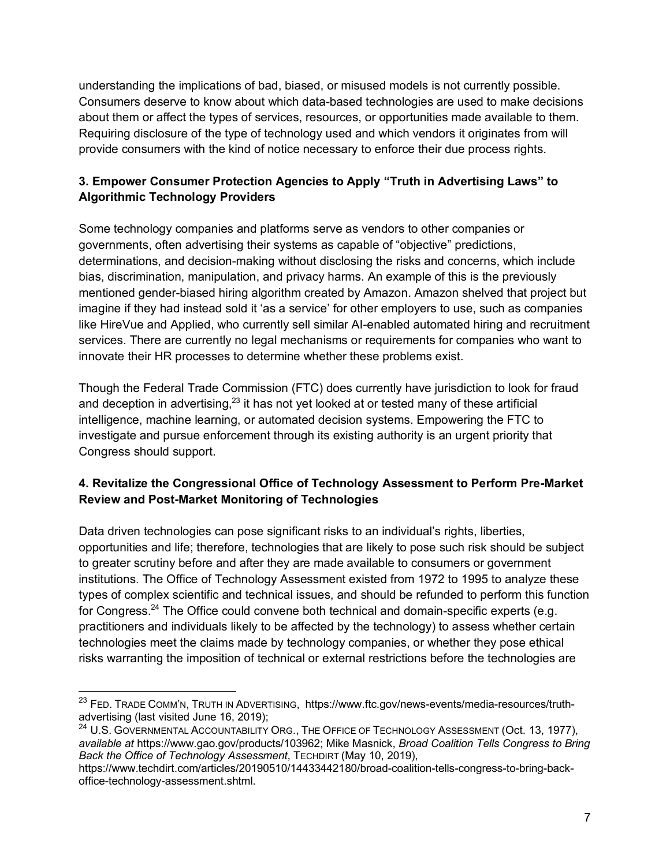understanding the implications of bad, biased, or misused models is not currently possible. Consumers deserve to know about which data-based technologies are used to make decisions about them or affect the types of services, resources, or opportunities made available to them. Requiring disclosure of the type of technology used and which vendors it originates from will provide consumers with the kind of notice necessary to enforce their due process rights.

## **3. Empower Consumer Protection Agencies to Apply "Truth in Advertising Laws" to Algorithmic Technology Providers**

Some technology companies and platforms serve as vendors to other companies or governments, often advertising their systems as capable of "objective" predictions, determinations, and decision-making without disclosing the risks and concerns, which include bias, discrimination, manipulation, and privacy harms. An example of this is the previously mentioned gender-biased hiring algorithm created by Amazon. Amazon shelved that project but imagine if they had instead sold it 'as a service' for other employers to use, such as companies like HireVue and Applied, who currently sell similar AI-enabled automated hiring and recruitment services. There are currently no legal mechanisms or requirements for companies who want to innovate their HR processes to determine whether these problems exist.

Though the Federal Trade Commission (FTC) does currently have jurisdiction to look for fraud and deception in advertising, $23$  it has not yet looked at or tested many of these artificial intelligence, machine learning, or automated decision systems. Empowering the FTC to investigate and pursue enforcement through its existing authority is an urgent priority that Congress should support.

## **4. Revitalize the Congressional Office of Technology Assessment to Perform Pre-Market Review and Post-Market Monitoring of Technologies**

Data driven technologies can pose significant risks to an individual's rights, liberties, opportunities and life; therefore, technologies that are likely to pose such risk should be subject to greater scrutiny before and after they are made available to consumers or government institutions. The Office of Technology Assessment existed from 1972 to 1995 to analyze these types of complex scientific and technical issues, and should be refunded to perform this function for Congress.<sup>24</sup> The Office could convene both technical and domain-specific experts (e.g. practitioners and individuals likely to be affected by the technology) to assess whether certain technologies meet the claims made by technology companies, or whether they pose ethical risks warranting the imposition of technical or external restrictions before the technologies are

<sup>&</sup>lt;sup>23</sup> FED. TRADE COMM'N, TRUTH IN ADVERTISING, https://www.ftc.gov/news-events/media-resources/truthadvertising (last visited June 16, 2019);

<sup>&</sup>lt;sup>24</sup> U.S. GOVERNMENTAL ACCOUNTABILITY ORG., THE OFFICE OF TECHNOLOGY ASSESSMENT (Oct. 13, 1977), *available at* https://www.gao.gov/products/103962; Mike Masnick, *Broad Coalition Tells Congress to Bring Back the Office of Technology Assessment*, TECHDIRT (May 10, 2019),

https://www.techdirt.com/articles/20190510/14433442180/broad-coalition-tells-congress-to-bring-backoffice-technology-assessment.shtml.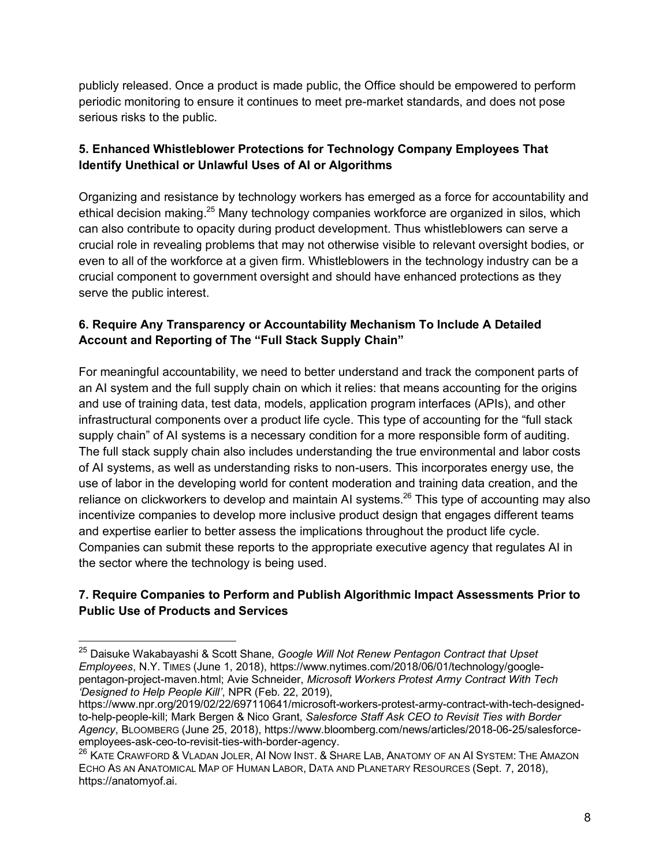publicly released. Once a product is made public, the Office should be empowered to perform periodic monitoring to ensure it continues to meet pre-market standards, and does not pose serious risks to the public.

# **5. Enhanced Whistleblower Protections for Technology Company Employees That Identify Unethical or Unlawful Uses of AI or Algorithms**

Organizing and resistance by technology workers has emerged as a force for accountability and ethical decision making.<sup>25</sup> Many technology companies workforce are organized in silos, which can also contribute to opacity during product development. Thus whistleblowers can serve a crucial role in revealing problems that may not otherwise visible to relevant oversight bodies, or even to all of the workforce at a given firm. Whistleblowers in the technology industry can be a crucial component to government oversight and should have enhanced protections as they serve the public interest.

## **6. Require Any Transparency or Accountability Mechanism To Include A Detailed Account and Reporting of The "Full Stack Supply Chain"**

For meaningful accountability, we need to better understand and track the component parts of an AI system and the full supply chain on which it relies: that means accounting for the origins and use of training data, test data, models, application program interfaces (APIs), and other infrastructural components over a product life cycle. This type of accounting for the "full stack supply chain" of AI systems is a necessary condition for a more responsible form of auditing. The full stack supply chain also includes understanding the true environmental and labor costs of AI systems, as well as understanding risks to non-users. This incorporates energy use, the use of labor in the developing world for content moderation and training data creation, and the reliance on clickworkers to develop and maintain AI systems.<sup>26</sup> This type of accounting may also incentivize companies to develop more inclusive product design that engages different teams and expertise earlier to better assess the implications throughout the product life cycle. Companies can submit these reports to the appropriate executive agency that regulates AI in the sector where the technology is being used.

### **7. Require Companies to Perform and Publish Algorithmic Impact Assessments Prior to Public Use of Products and Services**

 <sup>25</sup> Daisuke Wakabayashi & Scott Shane, *Google Will Not Renew Pentagon Contract that Upset Employees*, N.Y. TIMES (June 1, 2018), https://www.nytimes.com/2018/06/01/technology/googlepentagon-project-maven.html; Avie Schneider, *Microsoft Workers Protest Army Contract With Tech 'Designed to Help People Kill'*, NPR (Feb. 22, 2019),

https://www.npr.org/2019/02/22/697110641/microsoft-workers-protest-army-contract-with-tech-designedto-help-people-kill; Mark Bergen & Nico Grant, *Salesforce Staff Ask CEO to Revisit Ties with Border Agency*, BLOOMBERG (June 25, 2018), https://www.bloomberg.com/news/articles/2018-06-25/salesforceemployees-ask-ceo-to-revisit-ties-with-border-agency.

<sup>&</sup>lt;sup>26</sup> KATE CRAWFORD & VLADAN JOLER, AI NOW INST. & SHARE LAB, ANATOMY OF AN AI SYSTEM: THE AMAZON ECHO AS AN ANATOMICAL MAP OF HUMAN LABOR, DATA AND PLANETARY RESOURCES (Sept. 7, 2018), https://anatomyof.ai.